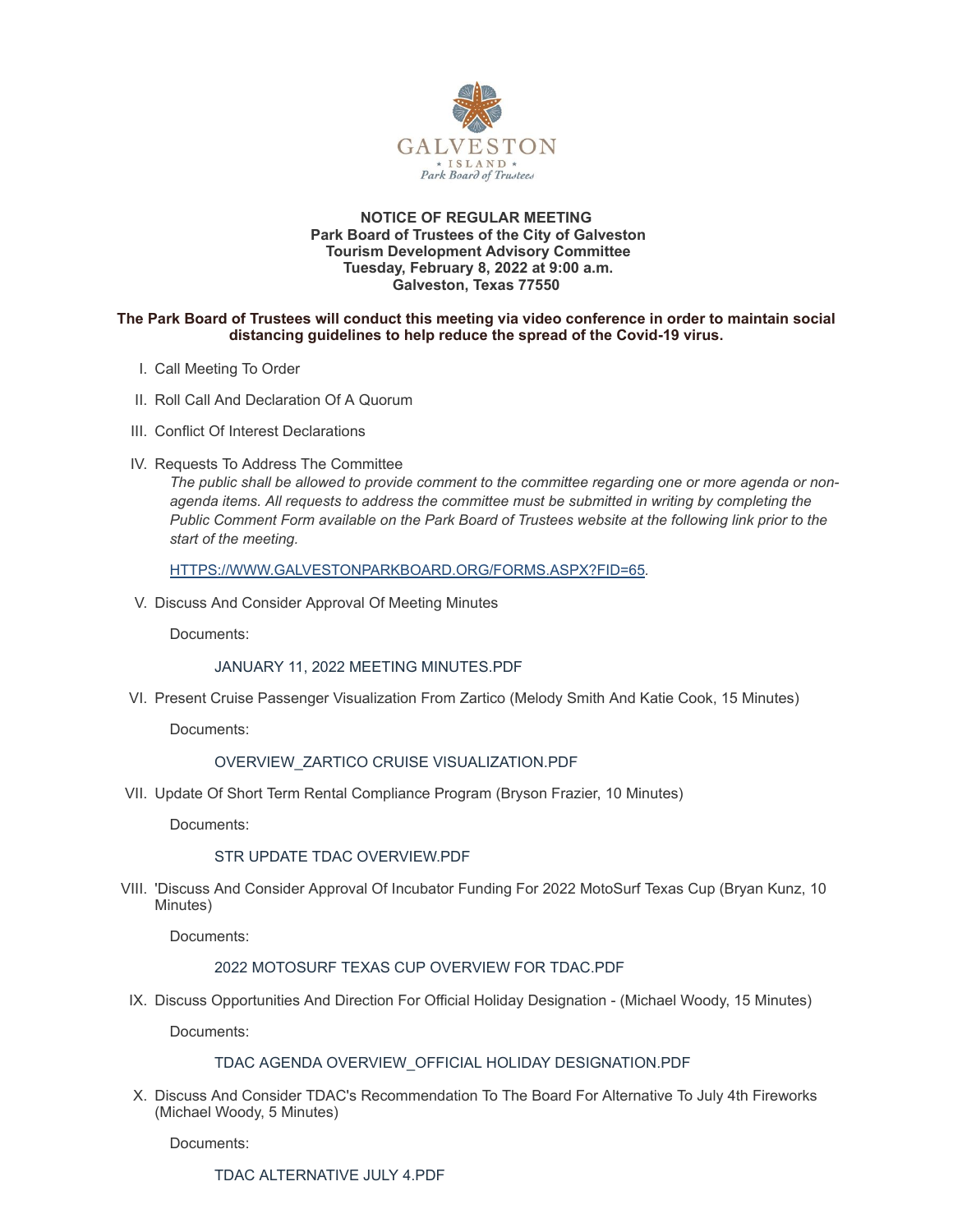

#### **NOTICE OF REGULAR MEETING Park Board of Trustees of the City of Galveston Tourism Development Advisory Committee Tuesday, February 8, 2022 at 9:00 a.m. Galveston, Texas 77550**

#### **The Park Board of Trustees will conduct this meeting via video conference in order to maintain social distancing guidelines to help reduce the spread of the Covid-19 virus.**

- I. Call Meeting To Order
- II. Roll Call And Declaration Of A Quorum
- III. Conflict Of Interest Declarations
- IV. Requests To Address The Committee

*The public shall be allowed to provide comment to the committee regarding one or more agenda or nonagenda items. All requests to address the committee must be submitted in writing by completing the Public Comment Form available on the Park Board of Trustees website at the following link prior to the start of the meeting.*

[HTTPS://WWW.GALVESTONPARKBOARD.ORG/FORMS.ASPX?FID=65](https://www.galvestonparkboard.org/forms.aspx?FID=65)*.*

V. Discuss And Consider Approval Of Meeting Minutes

Documents:

JANUARY 11, 2022 MEETING [MINUTES.PDF](https://www.galvestonparkboard.org/AgendaCenter/ViewFile/Item/7282?fileID=10709)

VI. Present Cruise Passenger Visualization From Zartico (Melody Smith And Katie Cook, 15 Minutes)

Documents:

# [OVERVIEW\\_ZARTICO](https://www.galvestonparkboard.org/AgendaCenter/ViewFile/Item/7314?fileID=10736) CRUISE VISUALIZATION.PDF

VII. Update Of Short Term Rental Compliance Program (Bryson Frazier, 10 Minutes)

Documents:

# STR UPDATE TDAC [OVERVIEW.PDF](https://www.galvestonparkboard.org/AgendaCenter/ViewFile/Item/7290?fileID=10742)

VIII. 'Discuss And Consider Approval Of Incubator Funding For 2022 MotoSurf Texas Cup (Bryan Kunz, 10 Minutes)

Documents:

# 2022 [MOTOSURF](https://www.galvestonparkboard.org/AgendaCenter/ViewFile/Item/7292?fileID=10745) TEXAS CUP OVERVIEW FOR TDAC.PDF

IX. Discuss Opportunities And Direction For Official Holiday Designation - (Michael Woody, 15 Minutes)

Documents:

# TDAC AGENDA [OVERVIEW\\_OFFICIAL](https://www.galvestonparkboard.org/AgendaCenter/ViewFile/Item/7288?fileID=10739) HOLIDAY DESIGNATION.PDF

X. Discuss And Consider TDAC's Recommendation To The Board For Alternative To July 4th Fireworks (Michael Woody, 5 Minutes)

Documents:

TDAC [ALTERNATIVE](https://www.galvestonparkboard.org/AgendaCenter/ViewFile/Item/7291?fileID=10740) JULY 4.PDF